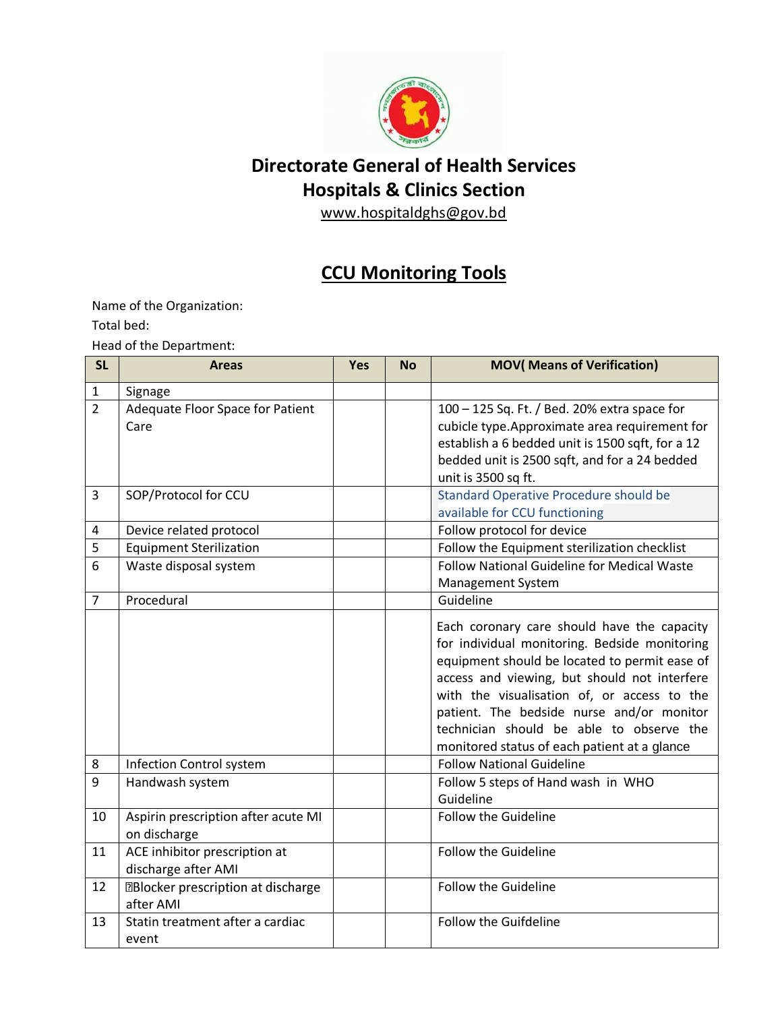

## **Directorate General of Health Services Hospitals & Clinics Section**

www.hospitaldghs@gov.bd

## **CCU Monitoring Tools**

Name of the Organization:

Total bed:

Head of the Department:

| <b>SL</b>      | <b>Areas</b>                                           | <b>Yes</b> | <b>No</b> | <b>MOV</b> (Means of Verification)                                                                                                                                                                                                                                                                                                                                                    |
|----------------|--------------------------------------------------------|------------|-----------|---------------------------------------------------------------------------------------------------------------------------------------------------------------------------------------------------------------------------------------------------------------------------------------------------------------------------------------------------------------------------------------|
| $\mathbf{1}$   | Signage                                                |            |           |                                                                                                                                                                                                                                                                                                                                                                                       |
| $\overline{2}$ | Adequate Floor Space for Patient<br>Care               |            |           | 100 - 125 Sq. Ft. / Bed. 20% extra space for<br>cubicle type. Approximate area requirement for<br>establish a 6 bedded unit is 1500 sqft, for a 12<br>bedded unit is 2500 sqft, and for a 24 bedded<br>unit is 3500 sq ft.                                                                                                                                                            |
| 3              | SOP/Protocol for CCU                                   |            |           | <b>Standard Operative Procedure should be</b><br>available for CCU functioning                                                                                                                                                                                                                                                                                                        |
| 4              | Device related protocol                                |            |           | Follow protocol for device                                                                                                                                                                                                                                                                                                                                                            |
| 5              | <b>Equipment Sterilization</b>                         |            |           | Follow the Equipment sterilization checklist                                                                                                                                                                                                                                                                                                                                          |
| 6              | Waste disposal system                                  |            |           | Follow National Guideline for Medical Waste<br>Management System                                                                                                                                                                                                                                                                                                                      |
| $\overline{7}$ | Procedural                                             |            |           | Guideline                                                                                                                                                                                                                                                                                                                                                                             |
|                |                                                        |            |           | Each coronary care should have the capacity<br>for individual monitoring. Bedside monitoring<br>equipment should be located to permit ease of<br>access and viewing, but should not interfere<br>with the visualisation of, or access to the<br>patient. The bedside nurse and/or monitor<br>technician should be able to observe the<br>monitored status of each patient at a glance |
| 8              | Infection Control system                               |            |           | <b>Follow National Guideline</b>                                                                                                                                                                                                                                                                                                                                                      |
| 9              | Handwash system                                        |            |           | Follow 5 steps of Hand wash in WHO<br>Guideline                                                                                                                                                                                                                                                                                                                                       |
| 10             | Aspirin prescription after acute MI<br>on discharge    |            |           | <b>Follow the Guideline</b>                                                                                                                                                                                                                                                                                                                                                           |
| 11             | ACE inhibitor prescription at<br>discharge after AMI   |            |           | <b>Follow the Guideline</b>                                                                                                                                                                                                                                                                                                                                                           |
| 12             | <b>EBlocker prescription at discharge</b><br>after AMI |            |           | <b>Follow the Guideline</b>                                                                                                                                                                                                                                                                                                                                                           |
| 13             | Statin treatment after a cardiac<br>event              |            |           | Follow the Guifdeline                                                                                                                                                                                                                                                                                                                                                                 |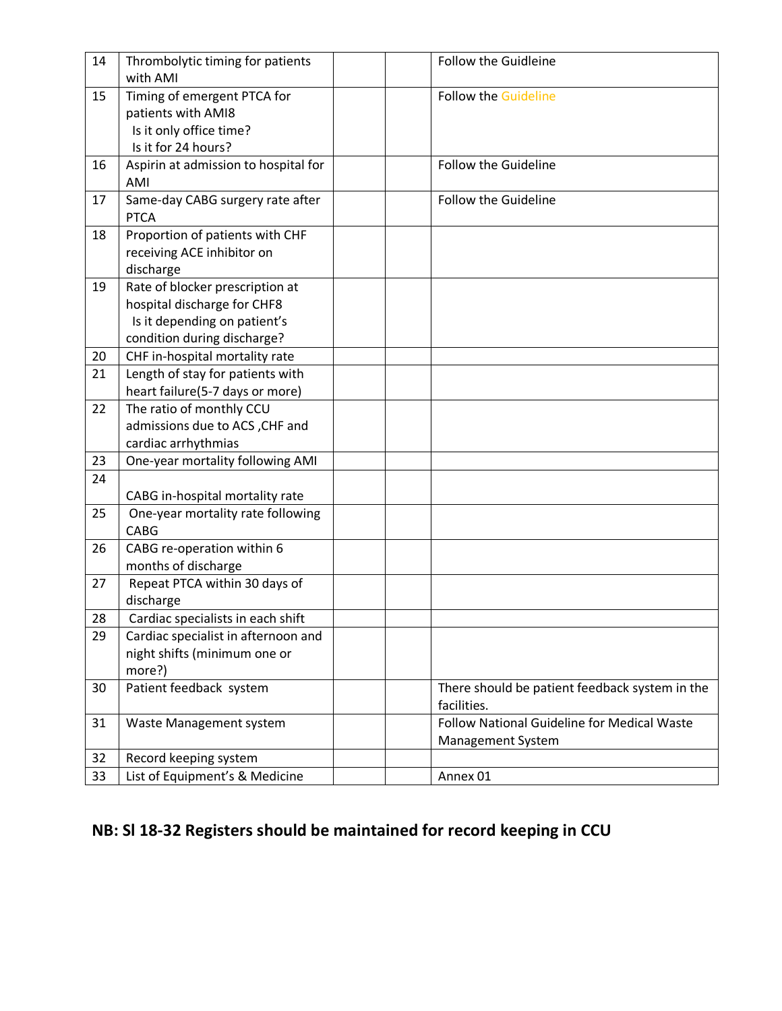| 14 | Thrombolytic timing for patients<br>with AMI                                                                                  | <b>Follow the Guidleine</b>                                      |
|----|-------------------------------------------------------------------------------------------------------------------------------|------------------------------------------------------------------|
| 15 | Timing of emergent PTCA for<br>patients with AMI8<br>Is it only office time?<br>Is it for 24 hours?                           | <b>Follow the Guideline</b>                                      |
| 16 | Aspirin at admission to hospital for<br>AMI                                                                                   | <b>Follow the Guideline</b>                                      |
| 17 | Same-day CABG surgery rate after<br><b>PTCA</b>                                                                               | <b>Follow the Guideline</b>                                      |
| 18 | Proportion of patients with CHF<br>receiving ACE inhibitor on<br>discharge                                                    |                                                                  |
| 19 | Rate of blocker prescription at<br>hospital discharge for CHF8<br>Is it depending on patient's<br>condition during discharge? |                                                                  |
| 20 | CHF in-hospital mortality rate                                                                                                |                                                                  |
| 21 | Length of stay for patients with<br>heart failure(5-7 days or more)                                                           |                                                                  |
| 22 | The ratio of monthly CCU<br>admissions due to ACS, CHF and<br>cardiac arrhythmias                                             |                                                                  |
| 23 | One-year mortality following AMI                                                                                              |                                                                  |
| 24 | CABG in-hospital mortality rate                                                                                               |                                                                  |
| 25 | One-year mortality rate following<br>CABG                                                                                     |                                                                  |
| 26 | CABG re-operation within 6<br>months of discharge                                                                             |                                                                  |
| 27 | Repeat PTCA within 30 days of<br>discharge                                                                                    |                                                                  |
| 28 | Cardiac specialists in each shift                                                                                             |                                                                  |
| 29 | Cardiac specialist in afternoon and<br>night shifts (minimum one or<br>more?)                                                 |                                                                  |
| 30 | Patient feedback system                                                                                                       | There should be patient feedback system in the<br>facilities.    |
| 31 | Waste Management system                                                                                                       | Follow National Guideline for Medical Waste<br>Management System |
| 32 | Record keeping system                                                                                                         |                                                                  |
| 33 | List of Equipment's & Medicine                                                                                                | Annex 01                                                         |

## **NB: Sl 18-32 Registers should be maintained for record keeping in CCU**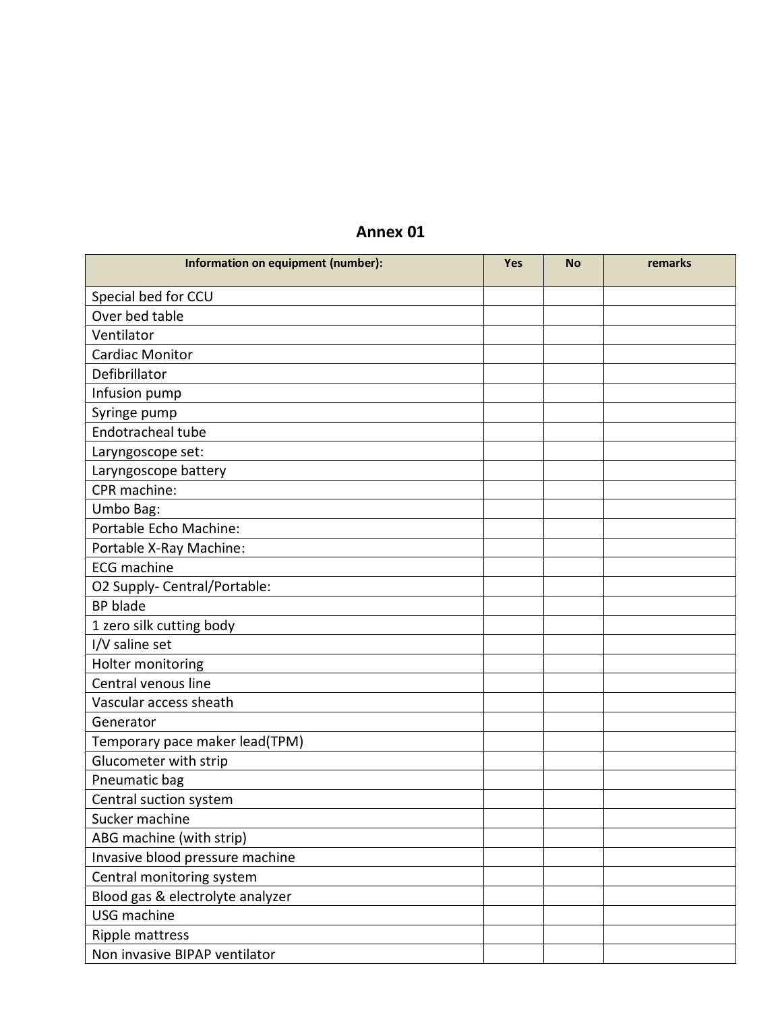## **Annex 01**

| Information on equipment (number): | Yes | <b>No</b> | remarks |
|------------------------------------|-----|-----------|---------|
| Special bed for CCU                |     |           |         |
| Over bed table                     |     |           |         |
| Ventilator                         |     |           |         |
| <b>Cardiac Monitor</b>             |     |           |         |
| Defibrillator                      |     |           |         |
| Infusion pump                      |     |           |         |
| Syringe pump                       |     |           |         |
| Endotracheal tube                  |     |           |         |
| Laryngoscope set:                  |     |           |         |
| Laryngoscope battery               |     |           |         |
| CPR machine:                       |     |           |         |
| Umbo Bag:                          |     |           |         |
| Portable Echo Machine:             |     |           |         |
| Portable X-Ray Machine:            |     |           |         |
| <b>ECG</b> machine                 |     |           |         |
| O2 Supply- Central/Portable:       |     |           |         |
| <b>BP</b> blade                    |     |           |         |
| 1 zero silk cutting body           |     |           |         |
| I/V saline set                     |     |           |         |
| Holter monitoring                  |     |           |         |
| Central venous line                |     |           |         |
| Vascular access sheath             |     |           |         |
| Generator                          |     |           |         |
| Temporary pace maker lead(TPM)     |     |           |         |
| Glucometer with strip              |     |           |         |
| Pneumatic bag                      |     |           |         |
| Central suction system             |     |           |         |
| Sucker machine                     |     |           |         |
| ABG machine (with strip)           |     |           |         |
| Invasive blood pressure machine    |     |           |         |
| Central monitoring system          |     |           |         |
| Blood gas & electrolyte analyzer   |     |           |         |
| USG machine                        |     |           |         |
| Ripple mattress                    |     |           |         |
| Non invasive BIPAP ventilator      |     |           |         |